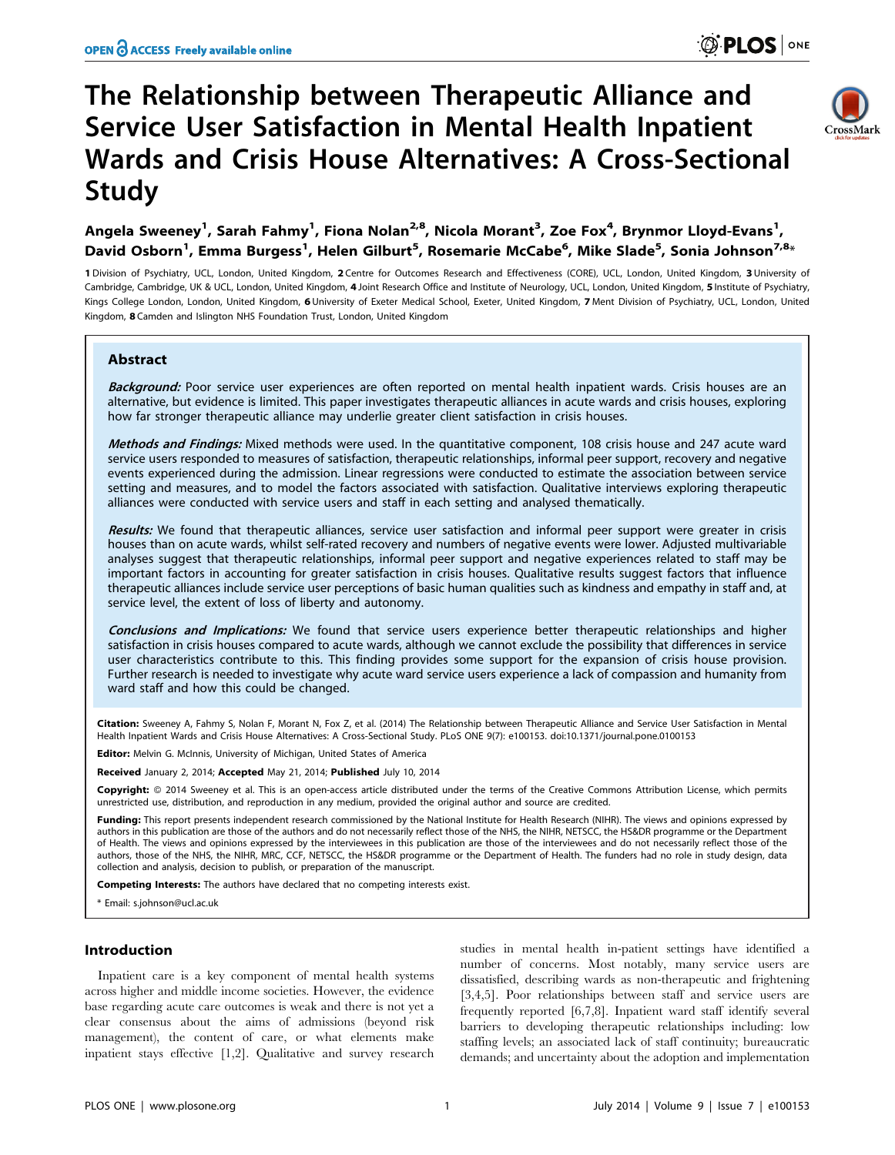# The Relationship between Therapeutic Alliance and Service User Satisfaction in Mental Health Inpatient Wards and Crisis House Alternatives: A Cross-Sectional Study



# Angela Sweeney<sup>1</sup>, Sarah Fahmy<sup>1</sup>, Fiona Nolan<sup>2,8</sup>, Nicola Morant<sup>3</sup>, Zoe Fox<sup>4</sup>, Brynmor Lloyd-Evans<sup>1</sup>, David Osborn<sup>1</sup>, Emma Burgess<sup>1</sup>, Helen Gilburt<sup>5</sup>, Rosemarie McCabe<sup>6</sup>, Mike Slade<sup>5</sup>, Sonia Johnson<sup>7,8</sup>\*

1 Division of Psychiatry, UCL, London, United Kingdom, 2 Centre for Outcomes Research and Effectiveness (CORE), UCL, London, United Kingdom, 3 University of Cambridge, Cambridge, UK & UCL, London, United Kingdom, 4 Joint Research Office and Institute of Neurology, UCL, London, United Kingdom, 5 Institute of Psychiatry, Kings College London, London, United Kingdom, 6 University of Exeter Medical School, Exeter, United Kingdom, 7 Ment Division of Psychiatry, UCL, London, United Kingdom, 8 Camden and Islington NHS Foundation Trust, London, United Kingdom

# Abstract

Background: Poor service user experiences are often reported on mental health inpatient wards. Crisis houses are an alternative, but evidence is limited. This paper investigates therapeutic alliances in acute wards and crisis houses, exploring how far stronger therapeutic alliance may underlie greater client satisfaction in crisis houses.

Methods and Findings: Mixed methods were used. In the quantitative component, 108 crisis house and 247 acute ward service users responded to measures of satisfaction, therapeutic relationships, informal peer support, recovery and negative events experienced during the admission. Linear regressions were conducted to estimate the association between service setting and measures, and to model the factors associated with satisfaction. Qualitative interviews exploring therapeutic alliances were conducted with service users and staff in each setting and analysed thematically.

Results: We found that therapeutic alliances, service user satisfaction and informal peer support were greater in crisis houses than on acute wards, whilst self-rated recovery and numbers of negative events were lower. Adjusted multivariable analyses suggest that therapeutic relationships, informal peer support and negative experiences related to staff may be important factors in accounting for greater satisfaction in crisis houses. Qualitative results suggest factors that influence therapeutic alliances include service user perceptions of basic human qualities such as kindness and empathy in staff and, at service level, the extent of loss of liberty and autonomy.

Conclusions and Implications: We found that service users experience better therapeutic relationships and higher satisfaction in crisis houses compared to acute wards, although we cannot exclude the possibility that differences in service user characteristics contribute to this. This finding provides some support for the expansion of crisis house provision. Further research is needed to investigate why acute ward service users experience a lack of compassion and humanity from ward staff and how this could be changed.

Citation: Sweeney A, Fahmy S, Nolan F, Morant N, Fox Z, et al. (2014) The Relationship between Therapeutic Alliance and Service User Satisfaction in Mental Health Inpatient Wards and Crisis House Alternatives: A Cross-Sectional Study. PLoS ONE 9(7): e100153. doi:10.1371/journal.pone.0100153

Editor: Melvin G. McInnis, University of Michigan, United States of America

Received January 2, 2014; Accepted May 21, 2014; Published July 10, 2014

Copyright: © 2014 Sweeney et al. This is an open-access article distributed under the terms of the [Creative Commons Attribution License,](http://creativecommons.org/licenses/by/4.0/) which permits unrestricted use, distribution, and reproduction in any medium, provided the original author and source are credited.

Funding: This report presents independent research commissioned by the National Institute for Health Research (NIHR). The views and opinions expressed by authors in this publication are those of the authors and do not necessarily reflect those of the NHS, the NIHR, NETSCC, the HS&DR programme or the Department of Health. The views and opinions expressed by the interviewees in this publication are those of the interviewees and do not necessarily reflect those of the authors, those of the NHS, the NIHR, MRC, CCF, NETSCC, the HS&DR programme or the Department of Health. The funders had no role in study design, data collection and analysis, decision to publish, or preparation of the manuscript.

ompeting Interests: The authors have declared that no competing interests exist.

\* Email: s.johnson@ucl.ac.uk

# Introduction

Inpatient care is a key component of mental health systems across higher and middle income societies. However, the evidence base regarding acute care outcomes is weak and there is not yet a clear consensus about the aims of admissions (beyond risk management), the content of care, or what elements make inpatient stays effective [1,2]. Qualitative and survey research

studies in mental health in-patient settings have identified a number of concerns. Most notably, many service users are dissatisfied, describing wards as non-therapeutic and frightening [3,4,5]. Poor relationships between staff and service users are frequently reported [6,7,8]. Inpatient ward staff identify several barriers to developing therapeutic relationships including: low staffing levels; an associated lack of staff continuity; bureaucratic demands; and uncertainty about the adoption and implementation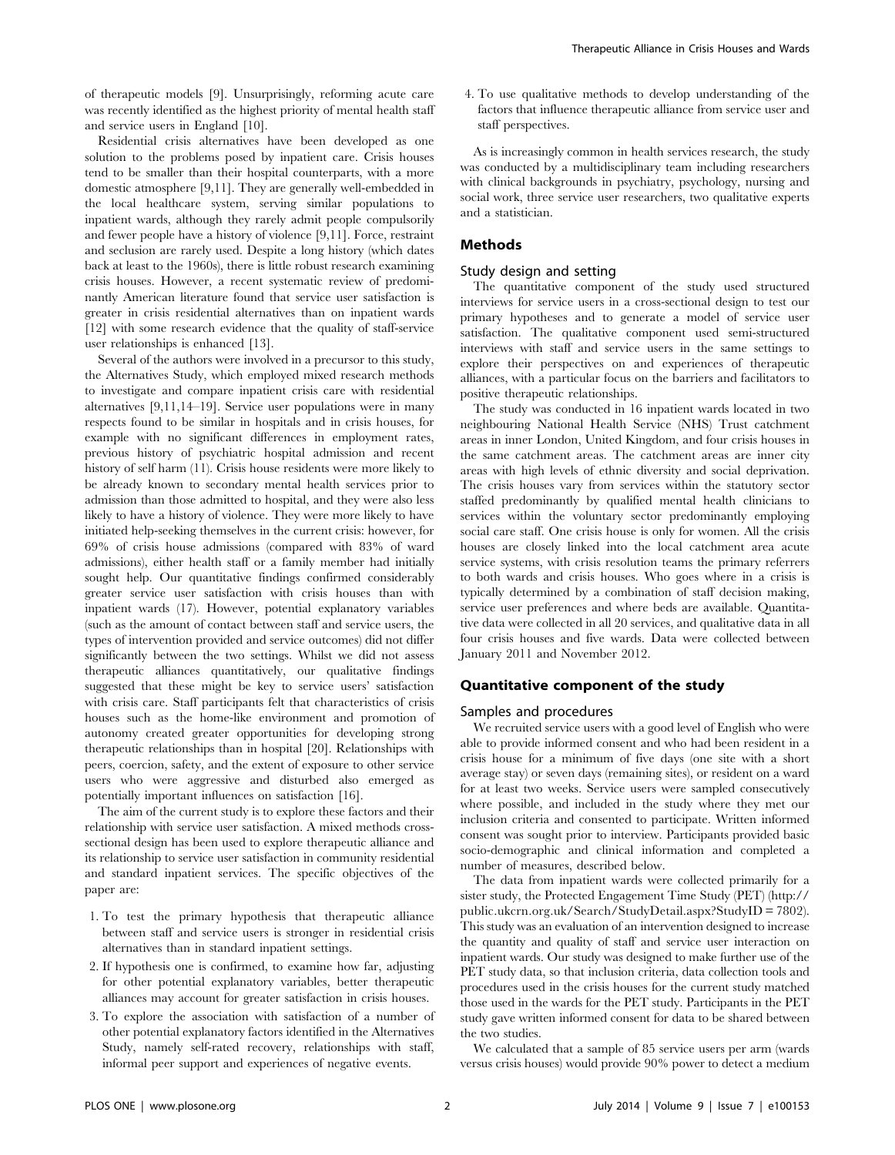of therapeutic models [9]. Unsurprisingly, reforming acute care was recently identified as the highest priority of mental health staff and service users in England [10].

Residential crisis alternatives have been developed as one solution to the problems posed by inpatient care. Crisis houses tend to be smaller than their hospital counterparts, with a more domestic atmosphere [9,11]. They are generally well-embedded in the local healthcare system, serving similar populations to inpatient wards, although they rarely admit people compulsorily and fewer people have a history of violence [9,11]. Force, restraint and seclusion are rarely used. Despite a long history (which dates back at least to the 1960s), there is little robust research examining crisis houses. However, a recent systematic review of predominantly American literature found that service user satisfaction is greater in crisis residential alternatives than on inpatient wards [12] with some research evidence that the quality of staff-service user relationships is enhanced [13].

Several of the authors were involved in a precursor to this study, the Alternatives Study, which employed mixed research methods to investigate and compare inpatient crisis care with residential alternatives [9,11,14–19]. Service user populations were in many respects found to be similar in hospitals and in crisis houses, for example with no significant differences in employment rates, previous history of psychiatric hospital admission and recent history of self harm (11). Crisis house residents were more likely to be already known to secondary mental health services prior to admission than those admitted to hospital, and they were also less likely to have a history of violence. They were more likely to have initiated help-seeking themselves in the current crisis: however, for 69% of crisis house admissions (compared with 83% of ward admissions), either health staff or a family member had initially sought help. Our quantitative findings confirmed considerably greater service user satisfaction with crisis houses than with inpatient wards (17). However, potential explanatory variables (such as the amount of contact between staff and service users, the types of intervention provided and service outcomes) did not differ significantly between the two settings. Whilst we did not assess therapeutic alliances quantitatively, our qualitative findings suggested that these might be key to service users' satisfaction with crisis care. Staff participants felt that characteristics of crisis houses such as the home-like environment and promotion of autonomy created greater opportunities for developing strong therapeutic relationships than in hospital [20]. Relationships with peers, coercion, safety, and the extent of exposure to other service users who were aggressive and disturbed also emerged as potentially important influences on satisfaction [16].

The aim of the current study is to explore these factors and their relationship with service user satisfaction. A mixed methods crosssectional design has been used to explore therapeutic alliance and its relationship to service user satisfaction in community residential and standard inpatient services. The specific objectives of the paper are:

- 1. To test the primary hypothesis that therapeutic alliance between staff and service users is stronger in residential crisis alternatives than in standard inpatient settings.
- 2. If hypothesis one is confirmed, to examine how far, adjusting for other potential explanatory variables, better therapeutic alliances may account for greater satisfaction in crisis houses.
- 3. To explore the association with satisfaction of a number of other potential explanatory factors identified in the Alternatives Study, namely self-rated recovery, relationships with staff, informal peer support and experiences of negative events.

4. To use qualitative methods to develop understanding of the factors that influence therapeutic alliance from service user and staff perspectives.

As is increasingly common in health services research, the study was conducted by a multidisciplinary team including researchers with clinical backgrounds in psychiatry, psychology, nursing and social work, three service user researchers, two qualitative experts and a statistician.

### Methods

### Study design and setting

The quantitative component of the study used structured interviews for service users in a cross-sectional design to test our primary hypotheses and to generate a model of service user satisfaction. The qualitative component used semi-structured interviews with staff and service users in the same settings to explore their perspectives on and experiences of therapeutic alliances, with a particular focus on the barriers and facilitators to positive therapeutic relationships.

The study was conducted in 16 inpatient wards located in two neighbouring National Health Service (NHS) Trust catchment areas in inner London, United Kingdom, and four crisis houses in the same catchment areas. The catchment areas are inner city areas with high levels of ethnic diversity and social deprivation. The crisis houses vary from services within the statutory sector staffed predominantly by qualified mental health clinicians to services within the voluntary sector predominantly employing social care staff. One crisis house is only for women. All the crisis houses are closely linked into the local catchment area acute service systems, with crisis resolution teams the primary referrers to both wards and crisis houses. Who goes where in a crisis is typically determined by a combination of staff decision making, service user preferences and where beds are available. Quantitative data were collected in all 20 services, and qualitative data in all four crisis houses and five wards. Data were collected between January 2011 and November 2012.

### Quantitative component of the study

### Samples and procedures

We recruited service users with a good level of English who were able to provide informed consent and who had been resident in a crisis house for a minimum of five days (one site with a short average stay) or seven days (remaining sites), or resident on a ward for at least two weeks. Service users were sampled consecutively where possible, and included in the study where they met our inclusion criteria and consented to participate. Written informed consent was sought prior to interview. Participants provided basic socio-demographic and clinical information and completed a number of measures, described below.

The data from inpatient wards were collected primarily for a sister study, the Protected Engagement Time Study (PET) ([http://](http://public.ukcrn.org.uk/Search/StudyDetail.aspx?StudyID=7802) [public.ukcrn.org.uk/Search/StudyDetail.aspx?StudyID = 7802\)](http://public.ukcrn.org.uk/Search/StudyDetail.aspx?StudyID=7802). This study was an evaluation of an intervention designed to increase the quantity and quality of staff and service user interaction on inpatient wards. Our study was designed to make further use of the PET study data, so that inclusion criteria, data collection tools and procedures used in the crisis houses for the current study matched those used in the wards for the PET study. Participants in the PET study gave written informed consent for data to be shared between the two studies.

We calculated that a sample of 85 service users per arm (wards versus crisis houses) would provide 90% power to detect a medium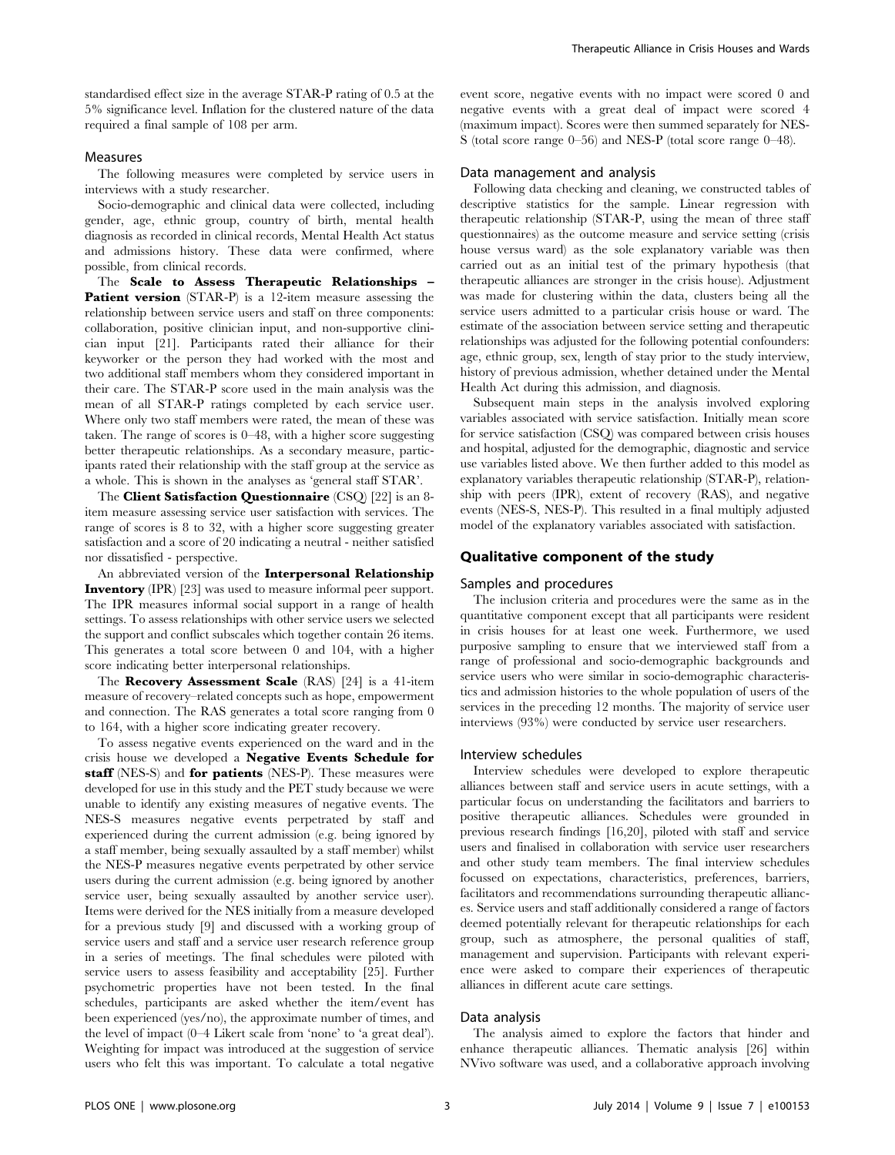standardised effect size in the average STAR-P rating of 0.5 at the 5% significance level. Inflation for the clustered nature of the data required a final sample of 108 per arm.

### Measures

The following measures were completed by service users in interviews with a study researcher.

Socio-demographic and clinical data were collected, including gender, age, ethnic group, country of birth, mental health diagnosis as recorded in clinical records, Mental Health Act status and admissions history. These data were confirmed, where possible, from clinical records.

The Scale to Assess Therapeutic Relationships – Patient version (STAR-P) is a 12-item measure assessing the relationship between service users and staff on three components: collaboration, positive clinician input, and non-supportive clinician input [21]. Participants rated their alliance for their keyworker or the person they had worked with the most and two additional staff members whom they considered important in their care. The STAR-P score used in the main analysis was the mean of all STAR-P ratings completed by each service user. Where only two staff members were rated, the mean of these was taken. The range of scores is 0–48, with a higher score suggesting better therapeutic relationships. As a secondary measure, participants rated their relationship with the staff group at the service as a whole. This is shown in the analyses as 'general staff STAR'.

The Client Satisfaction Questionnaire (CSQ) [22] is an 8 item measure assessing service user satisfaction with services. The range of scores is 8 to 32, with a higher score suggesting greater satisfaction and a score of 20 indicating a neutral - neither satisfied nor dissatisfied - perspective.

An abbreviated version of the Interpersonal Relationship Inventory (IPR) [23] was used to measure informal peer support. The IPR measures informal social support in a range of health settings. To assess relationships with other service users we selected the support and conflict subscales which together contain 26 items. This generates a total score between 0 and 104, with a higher score indicating better interpersonal relationships.

The Recovery Assessment Scale (RAS) [24] is a 41-item measure of recovery–related concepts such as hope, empowerment and connection. The RAS generates a total score ranging from 0 to 164, with a higher score indicating greater recovery.

To assess negative events experienced on the ward and in the crisis house we developed a Negative Events Schedule for staff (NES-S) and for patients (NES-P). These measures were developed for use in this study and the PET study because we were unable to identify any existing measures of negative events. The NES-S measures negative events perpetrated by staff and experienced during the current admission (e.g. being ignored by a staff member, being sexually assaulted by a staff member) whilst the NES-P measures negative events perpetrated by other service users during the current admission (e.g. being ignored by another service user, being sexually assaulted by another service user). Items were derived for the NES initially from a measure developed for a previous study [9] and discussed with a working group of service users and staff and a service user research reference group in a series of meetings. The final schedules were piloted with service users to assess feasibility and acceptability [25]. Further psychometric properties have not been tested. In the final schedules, participants are asked whether the item/event has been experienced (yes/no), the approximate number of times, and the level of impact (0–4 Likert scale from 'none' to 'a great deal'). Weighting for impact was introduced at the suggestion of service users who felt this was important. To calculate a total negative

event score, negative events with no impact were scored 0 and negative events with a great deal of impact were scored 4 (maximum impact). Scores were then summed separately for NES-S (total score range 0–56) and NES-P (total score range 0–48).

### Data management and analysis

Following data checking and cleaning, we constructed tables of descriptive statistics for the sample. Linear regression with therapeutic relationship (STAR-P, using the mean of three staff questionnaires) as the outcome measure and service setting (crisis house versus ward) as the sole explanatory variable was then carried out as an initial test of the primary hypothesis (that therapeutic alliances are stronger in the crisis house). Adjustment was made for clustering within the data, clusters being all the service users admitted to a particular crisis house or ward. The estimate of the association between service setting and therapeutic relationships was adjusted for the following potential confounders: age, ethnic group, sex, length of stay prior to the study interview, history of previous admission, whether detained under the Mental Health Act during this admission, and diagnosis.

Subsequent main steps in the analysis involved exploring variables associated with service satisfaction. Initially mean score for service satisfaction (CSQ) was compared between crisis houses and hospital, adjusted for the demographic, diagnostic and service use variables listed above. We then further added to this model as explanatory variables therapeutic relationship (STAR-P), relationship with peers (IPR), extent of recovery (RAS), and negative events (NES-S, NES-P). This resulted in a final multiply adjusted model of the explanatory variables associated with satisfaction.

### Qualitative component of the study

#### Samples and procedures

The inclusion criteria and procedures were the same as in the quantitative component except that all participants were resident in crisis houses for at least one week. Furthermore, we used purposive sampling to ensure that we interviewed staff from a range of professional and socio-demographic backgrounds and service users who were similar in socio-demographic characteristics and admission histories to the whole population of users of the services in the preceding 12 months. The majority of service user interviews (93%) were conducted by service user researchers.

### Interview schedules

Interview schedules were developed to explore therapeutic alliances between staff and service users in acute settings, with a particular focus on understanding the facilitators and barriers to positive therapeutic alliances. Schedules were grounded in previous research findings [16,20], piloted with staff and service users and finalised in collaboration with service user researchers and other study team members. The final interview schedules focussed on expectations, characteristics, preferences, barriers, facilitators and recommendations surrounding therapeutic alliances. Service users and staff additionally considered a range of factors deemed potentially relevant for therapeutic relationships for each group, such as atmosphere, the personal qualities of staff, management and supervision. Participants with relevant experience were asked to compare their experiences of therapeutic alliances in different acute care settings.

### Data analysis

The analysis aimed to explore the factors that hinder and enhance therapeutic alliances. Thematic analysis [26] within NVivo software was used, and a collaborative approach involving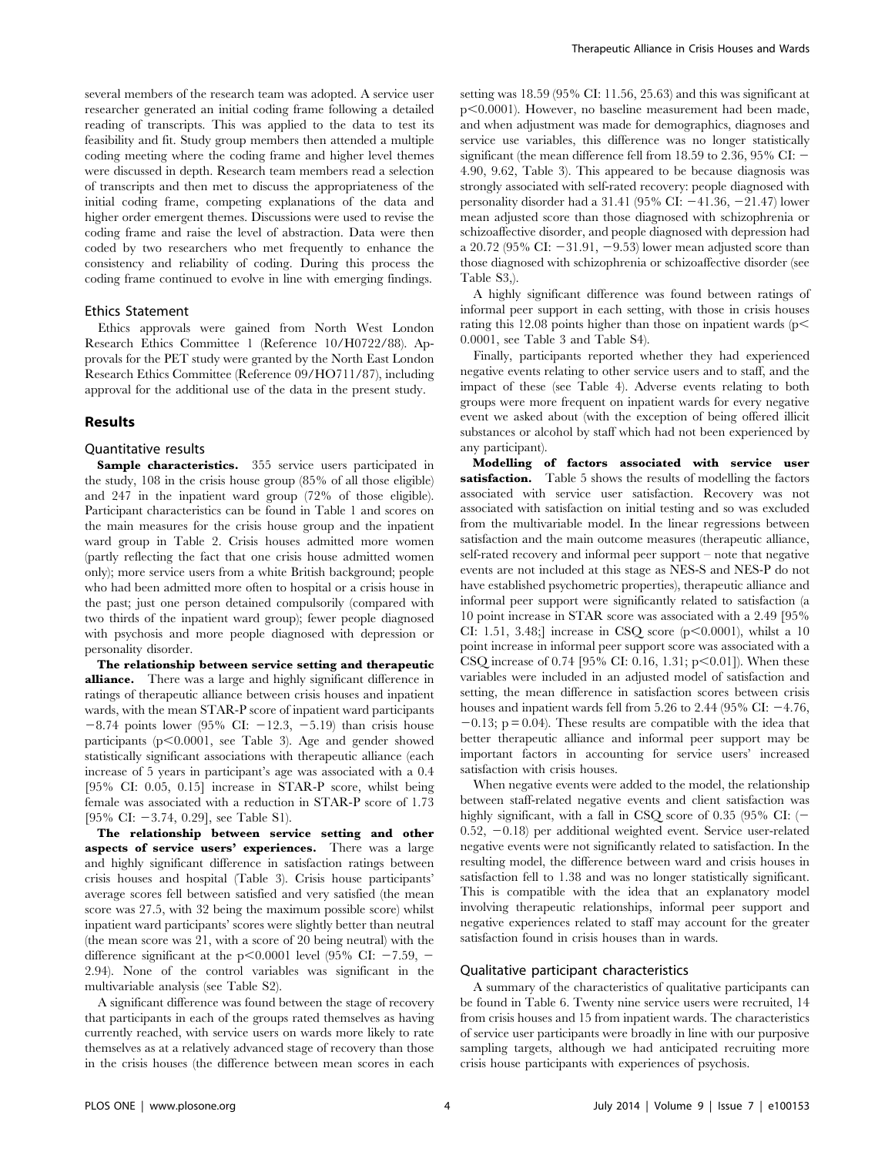several members of the research team was adopted. A service user researcher generated an initial coding frame following a detailed reading of transcripts. This was applied to the data to test its feasibility and fit. Study group members then attended a multiple coding meeting where the coding frame and higher level themes were discussed in depth. Research team members read a selection of transcripts and then met to discuss the appropriateness of the initial coding frame, competing explanations of the data and higher order emergent themes. Discussions were used to revise the coding frame and raise the level of abstraction. Data were then coded by two researchers who met frequently to enhance the consistency and reliability of coding. During this process the coding frame continued to evolve in line with emerging findings.

### Ethics Statement

Ethics approvals were gained from North West London Research Ethics Committee 1 (Reference 10/H0722/88). Approvals for the PET study were granted by the North East London Research Ethics Committee (Reference 09/HO711/87), including approval for the additional use of the data in the present study.

### Results

### Quantitative results

Sample characteristics. 355 service users participated in the study, 108 in the crisis house group (85% of all those eligible) and 247 in the inpatient ward group (72% of those eligible). Participant characteristics can be found in Table 1 and scores on the main measures for the crisis house group and the inpatient ward group in Table 2. Crisis houses admitted more women (partly reflecting the fact that one crisis house admitted women only); more service users from a white British background; people who had been admitted more often to hospital or a crisis house in the past; just one person detained compulsorily (compared with two thirds of the inpatient ward group); fewer people diagnosed with psychosis and more people diagnosed with depression or personality disorder.

The relationship between service setting and therapeutic **alliance.** There was a large and highly significant difference in ratings of therapeutic alliance between crisis houses and inpatient wards, with the mean STAR-P score of inpatient ward participants  $-8.74$  points lower (95% CI:  $-12.3$ ,  $-5.19$ ) than crisis house participants  $(p<0.0001$ , see Table 3). Age and gender showed statistically significant associations with therapeutic alliance (each increase of 5 years in participant's age was associated with a 0.4 [95% CI: 0.05, 0.15] increase in STAR-P score, whilst being female was associated with a reduction in STAR-P score of 1.73 [95% CI:  $-3.74$ , 0.29], see Table S1).

The relationship between service setting and other aspects of service users' experiences. There was a large and highly significant difference in satisfaction ratings between crisis houses and hospital (Table 3). Crisis house participants' average scores fell between satisfied and very satisfied (the mean score was 27.5, with 32 being the maximum possible score) whilst inpatient ward participants' scores were slightly better than neutral (the mean score was 21, with a score of 20 being neutral) with the difference significant at the p $< 0.0001$  level (95% CI: -7.59, -2.94). None of the control variables was significant in the multivariable analysis (see Table S2).

A significant difference was found between the stage of recovery that participants in each of the groups rated themselves as having currently reached, with service users on wards more likely to rate themselves as at a relatively advanced stage of recovery than those in the crisis houses (the difference between mean scores in each setting was 18.59 (95% CI: 11.56, 25.63) and this was significant at  $p<0.0001$ ). However, no baseline measurement had been made, and when adjustment was made for demographics, diagnoses and service use variables, this difference was no longer statistically significant (the mean difference fell from 18.59 to 2.36, 95% CI:  $-$ 4.90, 9.62, Table 3). This appeared to be because diagnosis was strongly associated with self-rated recovery: people diagnosed with personality disorder had a  $31.41$  (95% CI:  $-41.36$ ,  $-21.47$ ) lower mean adjusted score than those diagnosed with schizophrenia or schizoaffective disorder, and people diagnosed with depression had a 20.72 (95% CI:  $-31.91, -9.53$ ) lower mean adjusted score than those diagnosed with schizophrenia or schizoaffective disorder (see Table S3,).

A highly significant difference was found between ratings of informal peer support in each setting, with those in crisis houses rating this 12.08 points higher than those on inpatient wards ( $p<$ 0.0001, see Table 3 and Table S4).

Finally, participants reported whether they had experienced negative events relating to other service users and to staff, and the impact of these (see Table 4). Adverse events relating to both groups were more frequent on inpatient wards for every negative event we asked about (with the exception of being offered illicit substances or alcohol by staff which had not been experienced by any participant).

Modelling of factors associated with service user satisfaction. Table 5 shows the results of modelling the factors associated with service user satisfaction. Recovery was not associated with satisfaction on initial testing and so was excluded from the multivariable model. In the linear regressions between satisfaction and the main outcome measures (therapeutic alliance, self-rated recovery and informal peer support – note that negative events are not included at this stage as NES-S and NES-P do not have established psychometric properties), therapeutic alliance and informal peer support were significantly related to satisfaction (a 10 point increase in STAR score was associated with a 2.49 [95% CI: 1.51, 3.48; increase in CSQ score  $(p<0.0001)$ , whilst a 10 point increase in informal peer support score was associated with a CSQ increase of 0.74 [95% CI: 0.16, 1.31; p $\leq$ 0.01]). When these variables were included in an adjusted model of satisfaction and setting, the mean difference in satisfaction scores between crisis houses and inpatient wards fell from 5.26 to 2.44 (95% CI:  $-4.76$ ,  $-0.13$ ; p = 0.04). These results are compatible with the idea that better therapeutic alliance and informal peer support may be important factors in accounting for service users' increased satisfaction with crisis houses.

When negative events were added to the model, the relationship between staff-related negative events and client satisfaction was highly significant, with a fall in CSO score of 0.35 (95% CI:  $( (0.52, -0.18)$  per additional weighted event. Service user-related negative events were not significantly related to satisfaction. In the resulting model, the difference between ward and crisis houses in satisfaction fell to 1.38 and was no longer statistically significant. This is compatible with the idea that an explanatory model involving therapeutic relationships, informal peer support and negative experiences related to staff may account for the greater satisfaction found in crisis houses than in wards.

# Qualitative participant characteristics

A summary of the characteristics of qualitative participants can be found in Table 6. Twenty nine service users were recruited, 14 from crisis houses and 15 from inpatient wards. The characteristics of service user participants were broadly in line with our purposive sampling targets, although we had anticipated recruiting more crisis house participants with experiences of psychosis.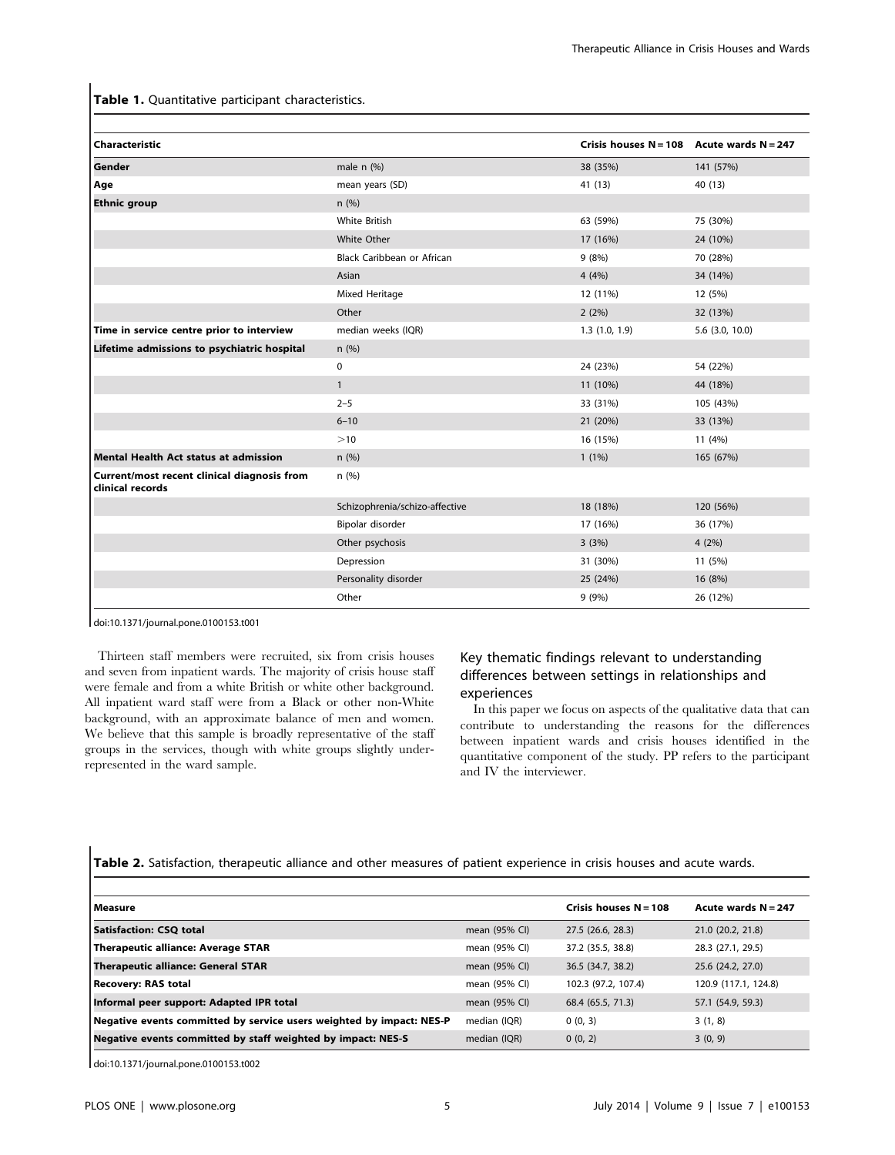Table 1. Quantitative participant characteristics.

| Characteristic                                                  |                                |               | Crisis houses $N = 108$ Acute wards $N = 247$ |
|-----------------------------------------------------------------|--------------------------------|---------------|-----------------------------------------------|
| Gender                                                          | male $n$ (%)                   | 38 (35%)      | 141 (57%)                                     |
| Age                                                             | mean years (SD)                | 41 (13)       | 40 (13)                                       |
| <b>Ethnic group</b>                                             | n(%)                           |               |                                               |
|                                                                 | White British                  | 63 (59%)      | 75 (30%)                                      |
|                                                                 | White Other                    | 17 (16%)      | 24 (10%)                                      |
|                                                                 | Black Caribbean or African     | 9(8%)         | 70 (28%)                                      |
|                                                                 | Asian                          | 4(4%)         | 34 (14%)                                      |
|                                                                 | Mixed Heritage                 | 12 (11%)      | 12 (5%)                                       |
|                                                                 | Other                          | 2(2%)         | 32 (13%)                                      |
| Time in service centre prior to interview                       | median weeks (IQR)             | 1.3(1.0, 1.9) | $5.6$ (3.0, 10.0)                             |
| Lifetime admissions to psychiatric hospital                     | n(%)                           |               |                                               |
|                                                                 | 0                              | 24 (23%)      | 54 (22%)                                      |
|                                                                 | $\mathbf{1}$                   | 11 (10%)      | 44 (18%)                                      |
|                                                                 | $2 - 5$                        | 33 (31%)      | 105 (43%)                                     |
|                                                                 | $6 - 10$                       | 21 (20%)      | 33 (13%)                                      |
|                                                                 | >10                            | 16 (15%)      | 11 (4%)                                       |
| <b>Mental Health Act status at admission</b>                    | n(%)                           | $1(1\%)$      | 165 (67%)                                     |
| Current/most recent clinical diagnosis from<br>clinical records | n(%)                           |               |                                               |
|                                                                 | Schizophrenia/schizo-affective | 18 (18%)      | 120 (56%)                                     |
|                                                                 | Bipolar disorder               | 17 (16%)      | 36 (17%)                                      |
|                                                                 | Other psychosis                | 3(3%)         | 4(2%)                                         |
|                                                                 | Depression                     | 31 (30%)      | 11 (5%)                                       |
|                                                                 | Personality disorder           | 25 (24%)      | 16 (8%)                                       |
|                                                                 | Other                          | 9(9%)         | 26 (12%)                                      |

doi:10.1371/journal.pone.0100153.t001

Thirteen staff members were recruited, six from crisis houses and seven from inpatient wards. The majority of crisis house staff were female and from a white British or white other background. All inpatient ward staff were from a Black or other non-White background, with an approximate balance of men and women. We believe that this sample is broadly representative of the staff groups in the services, though with white groups slightly underrepresented in the ward sample.

# Key thematic findings relevant to understanding differences between settings in relationships and experiences

In this paper we focus on aspects of the qualitative data that can contribute to understanding the reasons for the differences between inpatient wards and crisis houses identified in the quantitative component of the study. PP refers to the participant and IV the interviewer.

# Table 2. Satisfaction, therapeutic alliance and other measures of patient experience in crisis houses and acute wards.

| Measure<br>Crisis houses $N = 108$<br>Acute wards $N = 247$<br><b>Satisfaction: CSQ total</b><br>mean (95% CI)<br>27.5 (26.6, 28.3)<br>21.0 (20.2, 21.8)<br>Therapeutic alliance: Average STAR<br>37.2 (35.5, 38.8)<br>mean (95% CI)<br>28.3 (27.1, 29.5)<br>Therapeutic alliance: General STAR<br>mean (95% CI)<br>36.5 (34.7, 38.2)<br>25.6 (24.2, 27.0)<br>Recovery: RAS total<br>102.3 (97.2, 107.4)<br>mean (95% CI)<br>120.9 (117.1, 124.8)<br>Informal peer support: Adapted IPR total<br>mean (95% CI)<br>68.4 (65.5, 71.3)<br>57.1 (54.9, 59.3)<br>Negative events committed by service users weighted by impact: NES-P<br>median (IQR)<br>0(0, 3)<br>3(1, 8)<br>Negative events committed by staff weighted by impact: NES-S<br>0(0, 2)<br>3(0, 9)<br>median (IQR) |  |  |
|------------------------------------------------------------------------------------------------------------------------------------------------------------------------------------------------------------------------------------------------------------------------------------------------------------------------------------------------------------------------------------------------------------------------------------------------------------------------------------------------------------------------------------------------------------------------------------------------------------------------------------------------------------------------------------------------------------------------------------------------------------------------------|--|--|
|                                                                                                                                                                                                                                                                                                                                                                                                                                                                                                                                                                                                                                                                                                                                                                              |  |  |
|                                                                                                                                                                                                                                                                                                                                                                                                                                                                                                                                                                                                                                                                                                                                                                              |  |  |
|                                                                                                                                                                                                                                                                                                                                                                                                                                                                                                                                                                                                                                                                                                                                                                              |  |  |
|                                                                                                                                                                                                                                                                                                                                                                                                                                                                                                                                                                                                                                                                                                                                                                              |  |  |
|                                                                                                                                                                                                                                                                                                                                                                                                                                                                                                                                                                                                                                                                                                                                                                              |  |  |
|                                                                                                                                                                                                                                                                                                                                                                                                                                                                                                                                                                                                                                                                                                                                                                              |  |  |
|                                                                                                                                                                                                                                                                                                                                                                                                                                                                                                                                                                                                                                                                                                                                                                              |  |  |
|                                                                                                                                                                                                                                                                                                                                                                                                                                                                                                                                                                                                                                                                                                                                                                              |  |  |

doi:10.1371/journal.pone.0100153.t002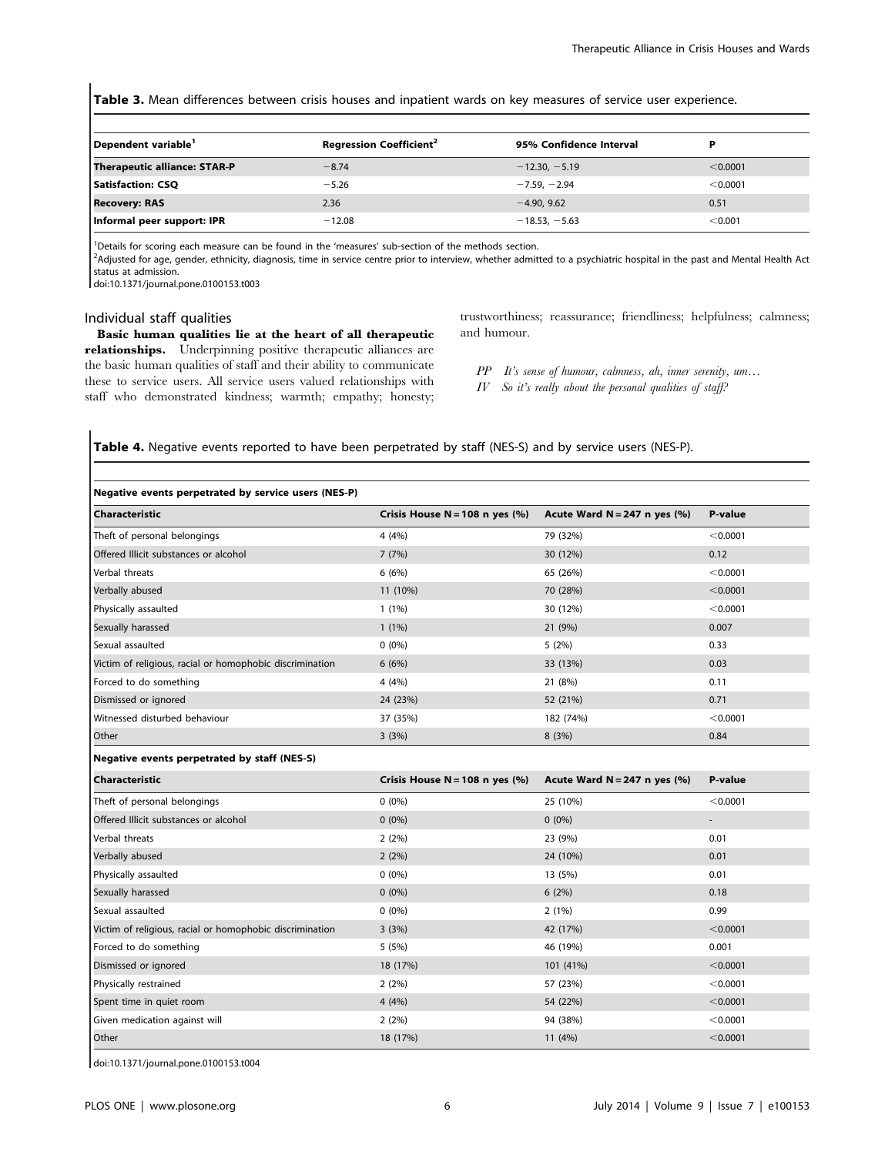Table 3. Mean differences between crisis houses and inpatient wards on key measures of service user experience.

| Dependent variable <sup>1</sup>     | <b>Regression Coefficient<sup>2</sup></b> | 95% Confidence Interval |          |
|-------------------------------------|-------------------------------------------|-------------------------|----------|
| <b>Therapeutic alliance: STAR-P</b> | $-8.74$                                   | $-12.30, -5.19$         | < 0.0001 |
| <b>Satisfaction: CSO</b>            | $-5.26$                                   | $-7.59. -2.94$          | < 0.0001 |
| <b>Recovery: RAS</b>                | 2.36                                      | $-4.90.962$             | 0.51     |
| Informal peer support: IPR          | $-12.08$                                  | $-18.53, -5.63$         | < 0.001  |

<sup>1</sup>Details for scoring each measure can be found in the 'measures' sub-section of the methods section.

<sup>2</sup>Adjusted for age, gender, ethnicity, diagnosis, time in service centre prior to interview, whether admitted to a psychiatric hospital in the past and Mental Health Act status at admission.

doi:10.1371/journal.pone.0100153.t003

# Individual staff qualities

trustworthiness; reassurance; friendliness; helpfulness; calmness; and humour.

Basic human qualities lie at the heart of all therapeutic relationships. Underpinning positive therapeutic alliances are the basic human qualities of staff and their ability to communicate these to service users. All service users valued relationships with staff who demonstrated kindness; warmth; empathy; honesty;

PP It's sense of humour, calmness, ah, inner serenity, um…

IV So it's really about the personal qualities of staff?

# Table 4. Negative events reported to have been perpetrated by staff (NES-S) and by service users (NES-P).

| Negative events perpetrated by service users (NES-P)     |                                     |                                   |            |  |  |
|----------------------------------------------------------|-------------------------------------|-----------------------------------|------------|--|--|
| Characteristic                                           | Crisis House $N = 108$ n yes $(\%)$ | Acute Ward $N = 247$ n yes $(\%)$ | P-value    |  |  |
| Theft of personal belongings                             | 4(4%)                               | 79 (32%)                          | $<$ 0.0001 |  |  |
| Offered Illicit substances or alcohol                    | 7(7%)                               | 30 (12%)                          | 0.12       |  |  |
| Verbal threats                                           | 6(6%)                               | 65 (26%)                          | < 0.0001   |  |  |
| Verbally abused                                          | 11 (10%)                            | 70 (28%)                          | < 0.0001   |  |  |
| Physically assaulted                                     | $1(1\%)$                            | 30 (12%)                          | < 0.0001   |  |  |
| Sexually harassed                                        | $1(1\%)$                            | 21 (9%)                           | 0.007      |  |  |
| Sexual assaulted                                         | $0(0\%)$                            | 5(2%)                             | 0.33       |  |  |
| Victim of religious, racial or homophobic discrimination | 6(6%)                               | 33 (13%)                          | 0.03       |  |  |
| Forced to do something                                   | 4 (4%)                              | 21 (8%)                           | 0.11       |  |  |
| Dismissed or ignored                                     | 24 (23%)                            | 52 (21%)                          | 0.71       |  |  |
| Witnessed disturbed behaviour                            | 37 (35%)                            | 182 (74%)                         | < 0.0001   |  |  |
| Other                                                    | 3(3%)                               | 8(3%)                             | 0.84       |  |  |

Negative events perpetrated by staff (NES-S)

| <b>Characteristic</b>                                    | Crisis House $N = 108$ n yes $(\%)$ | Acute Ward $N = 247$ n yes $(\%)$ | P-value                  |
|----------------------------------------------------------|-------------------------------------|-----------------------------------|--------------------------|
| Theft of personal belongings                             | $0(0\%)$                            | 25 (10%)                          | < 0.0001                 |
| Offered Illicit substances or alcohol                    | $0(0\%)$                            | $0(0\%)$                          | $\overline{\phantom{a}}$ |
| Verbal threats                                           | 2(2%)                               | 23 (9%)                           | 0.01                     |
| Verbally abused                                          | 2(2%)                               | 24 (10%)                          | 0.01                     |
| Physically assaulted                                     | $0(0\%)$                            | 13 (5%)                           | 0.01                     |
| Sexually harassed                                        | $0(0\%)$                            | 6(2%)                             | 0.18                     |
| Sexual assaulted                                         | $0(0\%)$                            | 2(1%)                             | 0.99                     |
| Victim of religious, racial or homophobic discrimination | 3(3%)                               | 42 (17%)                          | < 0.0001                 |
| Forced to do something                                   | 5 (5%)                              | 46 (19%)                          | 0.001                    |
| Dismissed or ignored                                     | 18 (17%)                            | 101 (41%)                         | < 0.0001                 |
| Physically restrained                                    | 2(2%)                               | 57 (23%)                          | < 0.0001                 |
| Spent time in quiet room                                 | 4(4%)                               | 54 (22%)                          | < 0.0001                 |
| Given medication against will                            | 2(2%)                               | 94 (38%)                          | < 0.0001                 |
| Other                                                    | 18 (17%)                            | 11 (4%)                           | < 0.0001                 |

doi:10.1371/journal.pone.0100153.t004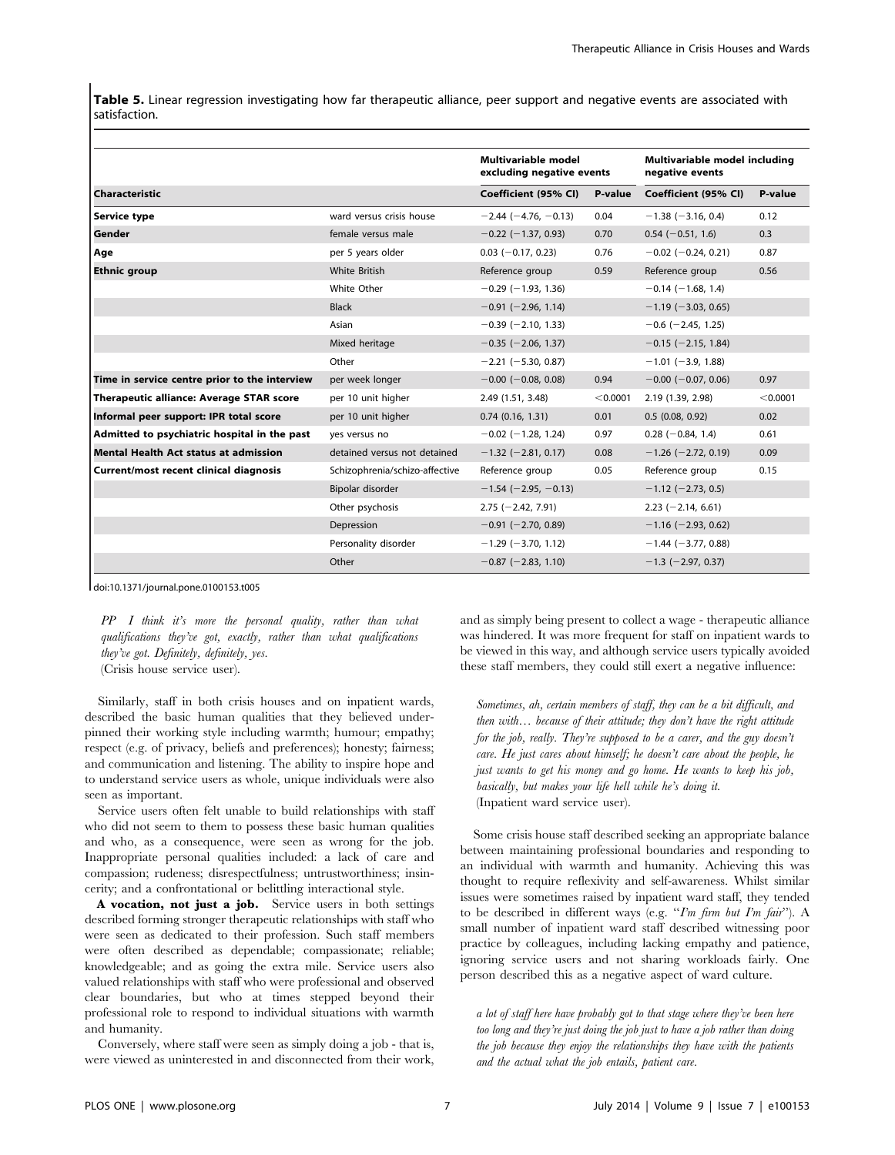Table 5. Linear regression investigating how far therapeutic alliance, peer support and negative events are associated with satisfaction.

|                                               |                                | Multivariable model<br>excluding negative events |          | Multivariable model including<br>negative events |          |
|-----------------------------------------------|--------------------------------|--------------------------------------------------|----------|--------------------------------------------------|----------|
| <b>Characteristic</b>                         |                                | Coefficient (95% CI)                             | P-value  | Coefficient (95% CI)                             | P-value  |
| Service type                                  | ward versus crisis house       | $-2.44 (-4.76, -0.13)$                           | 0.04     | $-1.38$ ( $-3.16$ , 0.4)                         | 0.12     |
| Gender                                        | female versus male             | $-0.22$ ( $-1.37, 0.93$ )                        | 0.70     | $0.54 (-0.51, 1.6)$                              | 0.3      |
| Age                                           | per 5 years older              | $0.03$ (-0.17, 0.23)                             | 0.76     | $-0.02$ ( $-0.24$ , 0.21)                        | 0.87     |
| <b>Ethnic group</b>                           | <b>White British</b>           | Reference group                                  | 0.59     | Reference group                                  | 0.56     |
|                                               | White Other                    | $-0.29$ ( $-1.93$ , 1.36)                        |          | $-0.14$ ( $-1.68$ , 1.4)                         |          |
|                                               | <b>Black</b>                   | $-0.91$ (-2.96, 1.14)                            |          | $-1.19$ ( $-3.03$ , 0.65)                        |          |
|                                               | Asian                          | $-0.39$ ( $-2.10$ , 1.33)                        |          | $-0.6$ ( $-2.45$ , 1.25)                         |          |
|                                               | Mixed heritage                 | $-0.35$ (-2.06, 1.37)                            |          | $-0.15$ (-2.15, 1.84)                            |          |
|                                               | Other                          | $-2.21$ ( $-5.30$ , 0.87)                        |          | $-1.01$ (-3.9, 1.88)                             |          |
| Time in service centre prior to the interview | per week longer                | $-0.00$ ( $-0.08$ , 0.08)                        | 0.94     | $-0.00$ ( $-0.07$ , 0.06)                        | 0.97     |
| Therapeutic alliance: Average STAR score      | per 10 unit higher             | 2.49 (1.51, 3.48)                                | < 0.0001 | 2.19 (1.39, 2.98)                                | < 0.0001 |
| Informal peer support: IPR total score        | per 10 unit higher             | $0.74$ (0.16, 1.31)                              | 0.01     | 0.5(0.08, 0.92)                                  | 0.02     |
| Admitted to psychiatric hospital in the past  | yes versus no                  | $-0.02$ (-1.28, 1.24)                            | 0.97     | $0.28$ (-0.84, 1.4)                              | 0.61     |
| <b>Mental Health Act status at admission</b>  | detained versus not detained   | $-1.32$ ( $-2.81$ , 0.17)                        | 0.08     | $-1.26$ ( $-2.72$ , 0.19)                        | 0.09     |
| Current/most recent clinical diagnosis        | Schizophrenia/schizo-affective | Reference group                                  | 0.05     | Reference group                                  | 0.15     |
|                                               | Bipolar disorder               | $-1.54$ (-2.95, -0.13)                           |          | $-1.12$ (-2.73, 0.5)                             |          |
|                                               | Other psychosis                | $2.75 (-2.42, 7.91)$                             |          | $2.23 (-2.14, 6.61)$                             |          |
|                                               | Depression                     | $-0.91$ (-2.70, 0.89)                            |          | $-1.16$ (-2.93, 0.62)                            |          |
|                                               | Personality disorder           | $-1.29$ ( $-3.70$ , 1.12)                        |          | $-1.44 (-3.77, 0.88)$                            |          |
|                                               | Other                          | $-0.87$ ( $-2.83$ , 1.10)                        |          | $-1.3$ (-2.97, 0.37)                             |          |

doi:10.1371/journal.pone.0100153.t005

PP I think it's more the personal quality, rather than what qualifications they've got, exactly, rather than what qualifications they've got. Definitely, definitely, yes. (Crisis house service user).

Similarly, staff in both crisis houses and on inpatient wards, described the basic human qualities that they believed underpinned their working style including warmth; humour; empathy; respect (e.g. of privacy, beliefs and preferences); honesty; fairness; and communication and listening. The ability to inspire hope and to understand service users as whole, unique individuals were also seen as important.

Service users often felt unable to build relationships with staff who did not seem to them to possess these basic human qualities and who, as a consequence, were seen as wrong for the job. Inappropriate personal qualities included: a lack of care and compassion; rudeness; disrespectfulness; untrustworthiness; insincerity; and a confrontational or belittling interactional style.

A vocation, not just a job. Service users in both settings described forming stronger therapeutic relationships with staff who were seen as dedicated to their profession. Such staff members were often described as dependable; compassionate; reliable; knowledgeable; and as going the extra mile. Service users also valued relationships with staff who were professional and observed clear boundaries, but who at times stepped beyond their professional role to respond to individual situations with warmth and humanity.

Conversely, where staff were seen as simply doing a job - that is, were viewed as uninterested in and disconnected from their work, and as simply being present to collect a wage - therapeutic alliance was hindered. It was more frequent for staff on inpatient wards to be viewed in this way, and although service users typically avoided these staff members, they could still exert a negative influence:

Sometimes, ah, certain members of staff, they can be a bit difficult, and then with… because of their attitude; they don't have the right attitude for the job, really. They're supposed to be a carer, and the guy doesn't care. He just cares about himself; he doesn't care about the people, he just wants to get his money and go home. He wants to keep his job, basically, but makes your life hell while he's doing it. (Inpatient ward service user).

Some crisis house staff described seeking an appropriate balance between maintaining professional boundaries and responding to an individual with warmth and humanity. Achieving this was thought to require reflexivity and self-awareness. Whilst similar issues were sometimes raised by inpatient ward staff, they tended to be described in different ways (e.g. " $\Gamma m$  firm but  $\Gamma m$  fair"). A small number of inpatient ward staff described witnessing poor practice by colleagues, including lacking empathy and patience, ignoring service users and not sharing workloads fairly. One person described this as a negative aspect of ward culture.

a lot of staff here have probably got to that stage where they've been here too long and they're just doing the job just to have a job rather than doing the job because they enjoy the relationships they have with the patients and the actual what the job entails, patient care.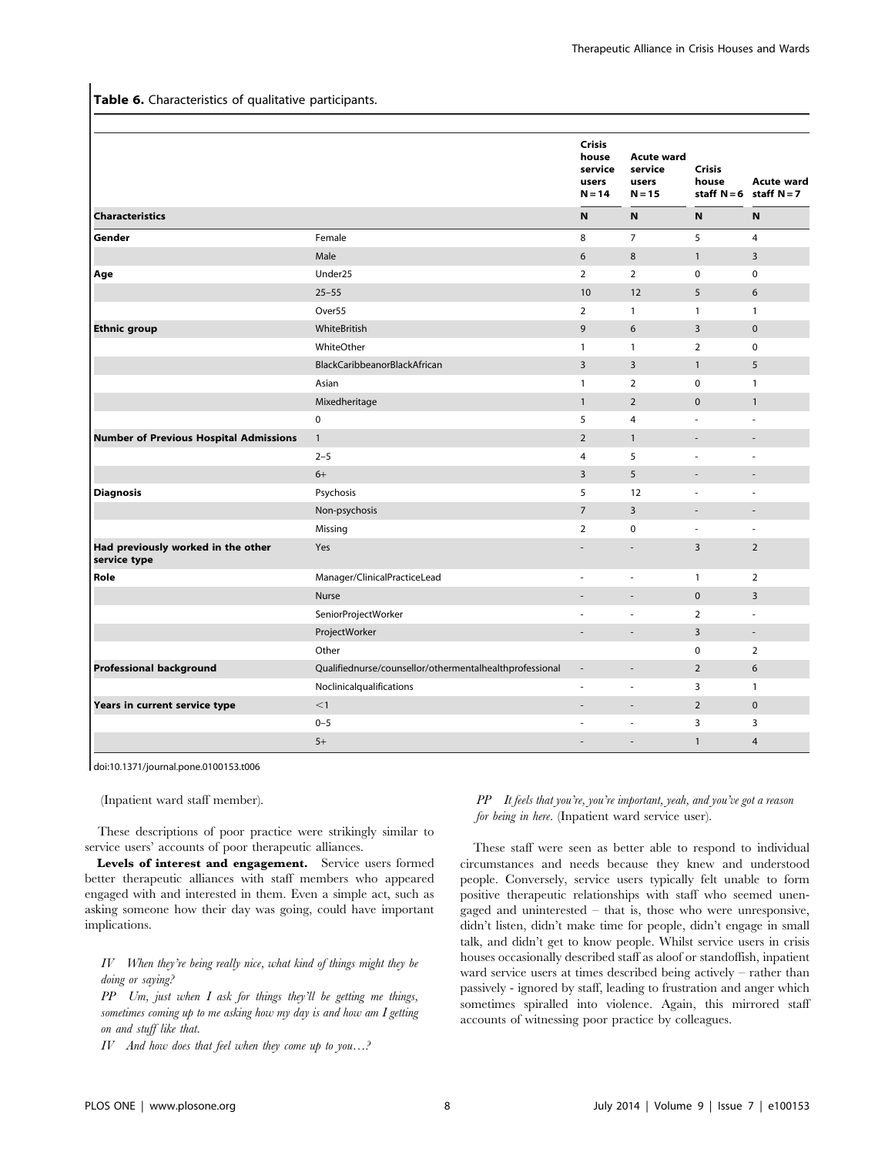### Table 6. Characteristics of qualitative participants.

|                                                    |                                                         | <b>Crisis</b><br>house<br>service<br>users<br>$N = 14$ | <b>Acute ward</b><br>service<br>users<br>$N = 15$ | Crisis<br>house           | <b>Acute ward</b><br>staff $N = 6$ staff $N = 7$ |
|----------------------------------------------------|---------------------------------------------------------|--------------------------------------------------------|---------------------------------------------------|---------------------------|--------------------------------------------------|
| <b>Characteristics</b>                             |                                                         | N                                                      | $\boldsymbol{\mathsf{N}}$                         | $\boldsymbol{\mathsf{N}}$ | $\boldsymbol{\mathsf{N}}$                        |
| Gender                                             | Female                                                  | 8                                                      | $\overline{7}$                                    | 5                         | $\overline{4}$                                   |
|                                                    | Male                                                    | 6                                                      | 8                                                 | $\mathbf{1}$              | 3                                                |
| Age                                                | Under25                                                 | $\overline{2}$                                         | 2                                                 | $\pmb{0}$                 | 0                                                |
|                                                    | $25 - 55$                                               | 10                                                     | 12                                                | 5                         | 6                                                |
|                                                    | Over55                                                  | $\overline{2}$                                         | $\mathbf{1}$                                      | $\mathbf{1}$              | $\mathbf{1}$                                     |
| <b>Ethnic group</b>                                | WhiteBritish                                            | 9                                                      | 6                                                 | 3                         | $\pmb{0}$                                        |
|                                                    | WhiteOther                                              | $\mathbf{1}$                                           | $\mathbf{1}$                                      | $\overline{2}$            | 0                                                |
|                                                    | BlackCaribbeanorBlackAfrican                            | $\overline{3}$                                         | 3                                                 | $\mathbf{1}$              | 5                                                |
|                                                    | Asian                                                   | $\mathbf{1}$                                           | $\overline{2}$                                    | $\pmb{0}$                 | $\mathbf{1}$                                     |
|                                                    | Mixedheritage                                           | $\mathbf{1}$                                           | $\overline{2}$                                    | $\pmb{0}$                 | $\mathbf{1}$                                     |
|                                                    | $\pmb{0}$                                               | 5                                                      | 4                                                 | ÷,                        | ä,                                               |
| <b>Number of Previous Hospital Admissions</b>      | $\mathbf{1}$                                            | $\overline{2}$                                         | $\mathbf{1}$                                      | $\sim$                    | $\blacksquare$                                   |
|                                                    | $2 - 5$                                                 | 4                                                      | 5                                                 | $\overline{\phantom{a}}$  | ×,                                               |
|                                                    | $6+$                                                    | $\overline{3}$                                         | 5                                                 | $\overline{\phantom{a}}$  | $\qquad \qquad \blacksquare$                     |
| <b>Diagnosis</b>                                   | Psychosis                                               | 5                                                      | 12                                                | $\sim$                    | ٠                                                |
|                                                    | Non-psychosis                                           | $\overline{7}$                                         | $\mathbf{3}$                                      | $\overline{a}$            | $\qquad \qquad \blacksquare$                     |
|                                                    | Missing                                                 | $\overline{2}$                                         | $\mathbf 0$                                       | ÷,                        | ÷                                                |
| Had previously worked in the other<br>service type | Yes                                                     | $\overline{\phantom{a}}$                               | $\overline{a}$                                    | $\overline{3}$            | $\overline{2}$                                   |
| Role                                               | Manager/ClinicalPracticeLead                            | i,                                                     |                                                   | $\mathbf{1}$              | $\overline{2}$                                   |
|                                                    | Nurse                                                   | ÷,                                                     | $\overline{\phantom{a}}$                          | $\pmb{0}$                 | $\overline{3}$                                   |
|                                                    | SeniorProjectWorker                                     | L,                                                     | $\overline{\phantom{a}}$                          | 2                         | ÷,                                               |
|                                                    | ProjectWorker                                           | ÷                                                      |                                                   | $\mathsf{3}$              | $\qquad \qquad \blacksquare$                     |
|                                                    | Other                                                   |                                                        |                                                   | $\pmb{0}$                 | $\overline{2}$                                   |
| <b>Professional background</b>                     | Qualifiednurse/counsellor/othermentalhealthprofessional | $\overline{\phantom{a}}$                               | $\sim$                                            | $\overline{2}$            | 6                                                |
|                                                    | Noclinicalqualifications                                | ÷,                                                     | $\overline{\phantom{a}}$                          | 3                         | $\mathbf{1}$                                     |
| Years in current service type                      | <1                                                      | $\sim$                                                 | $\overline{\phantom{a}}$                          | $\overline{2}$            | $\mathbf{0}$                                     |
|                                                    | $0 - 5$                                                 | ä,                                                     | $\overline{\phantom{a}}$                          | 3                         | 3                                                |
|                                                    | $5+$                                                    | ÷                                                      |                                                   | $\mathbf{1}$              | $\overline{4}$                                   |

doi:10.1371/journal.pone.0100153.t006

(Inpatient ward staff member).

These descriptions of poor practice were strikingly similar to service users' accounts of poor therapeutic alliances.

Levels of interest and engagement. Service users formed better therapeutic alliances with staff members who appeared engaged with and interested in them. Even a simple act, such as asking someone how their day was going, could have important implications.

IV When they're being really nice, what kind of things might they be doing or saying?

PP Um, just when I ask for things they'll be getting me things, sometimes coming up to me asking how my day is and how am I getting on and stuff like that.

IV And how does that feel when they come up to you…?

### PP It feels that you're, you're important, yeah, and you've got a reason for being in here. (Inpatient ward service user).

These staff were seen as better able to respond to individual circumstances and needs because they knew and understood people. Conversely, service users typically felt unable to form positive therapeutic relationships with staff who seemed unengaged and uninterested – that is, those who were unresponsive, didn't listen, didn't make time for people, didn't engage in small talk, and didn't get to know people. Whilst service users in crisis houses occasionally described staff as aloof or standoffish, inpatient ward service users at times described being actively – rather than passively - ignored by staff, leading to frustration and anger which sometimes spiralled into violence. Again, this mirrored staff accounts of witnessing poor practice by colleagues.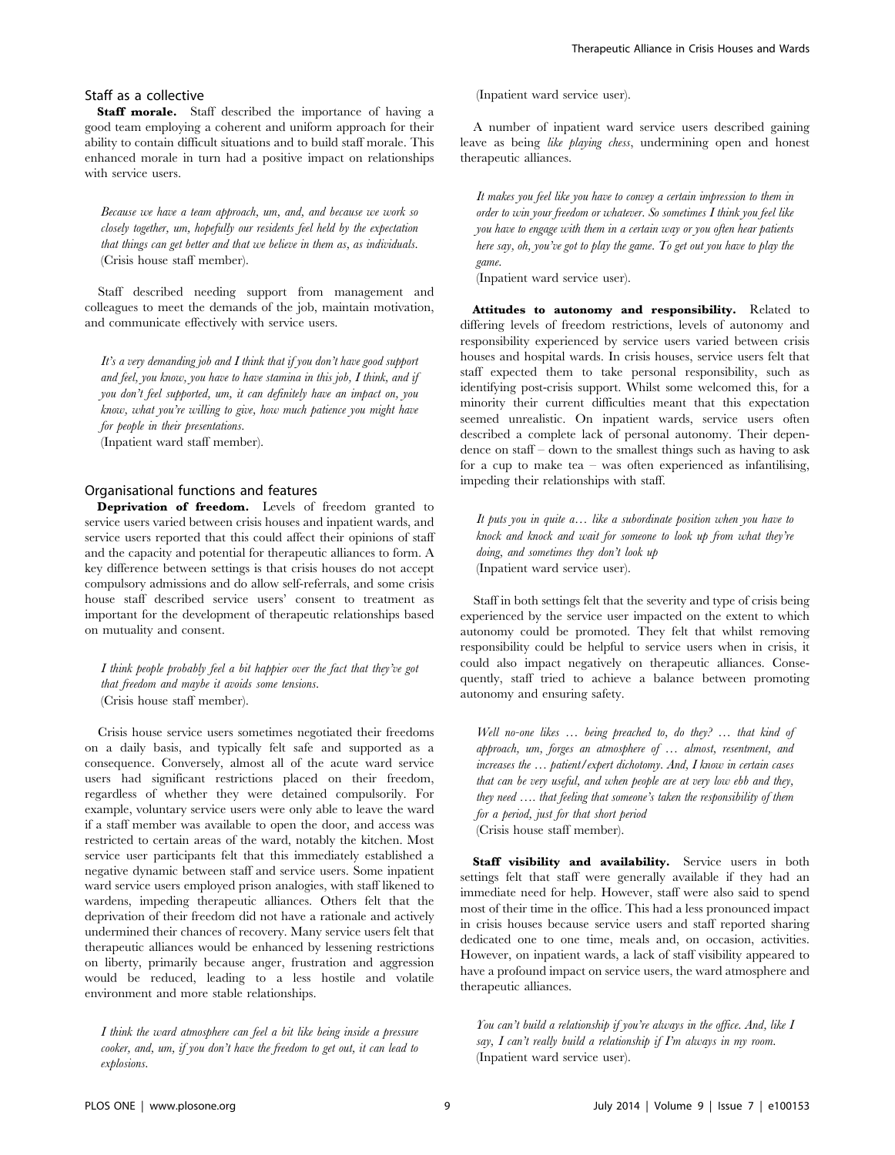### Staff as a collective

Staff morale. Staff described the importance of having a good team employing a coherent and uniform approach for their ability to contain difficult situations and to build staff morale. This enhanced morale in turn had a positive impact on relationships with service users.

Because we have a team approach, um, and, and because we work so closely together, um, hopefully our residents feel held by the expectation that things can get better and that we believe in them as, as individuals. (Crisis house staff member).

Staff described needing support from management and colleagues to meet the demands of the job, maintain motivation, and communicate effectively with service users.

It's a very demanding job and I think that if you don't have good support and feel, you know, you have to have stamina in this job, I think, and if you don't feel supported, um, it can definitely have an impact on, you know, what you're willing to give, how much patience you might have for people in their presentations.

(Inpatient ward staff member).

### Organisational functions and features

Deprivation of freedom. Levels of freedom granted to service users varied between crisis houses and inpatient wards, and service users reported that this could affect their opinions of staff and the capacity and potential for therapeutic alliances to form. A key difference between settings is that crisis houses do not accept compulsory admissions and do allow self-referrals, and some crisis house staff described service users' consent to treatment as important for the development of therapeutic relationships based on mutuality and consent.

I think people probably feel a bit happier over the fact that they've got that freedom and maybe it avoids some tensions. (Crisis house staff member).

Crisis house service users sometimes negotiated their freedoms on a daily basis, and typically felt safe and supported as a consequence. Conversely, almost all of the acute ward service users had significant restrictions placed on their freedom, regardless of whether they were detained compulsorily. For example, voluntary service users were only able to leave the ward if a staff member was available to open the door, and access was restricted to certain areas of the ward, notably the kitchen. Most service user participants felt that this immediately established a negative dynamic between staff and service users. Some inpatient ward service users employed prison analogies, with staff likened to wardens, impeding therapeutic alliances. Others felt that the deprivation of their freedom did not have a rationale and actively undermined their chances of recovery. Many service users felt that therapeutic alliances would be enhanced by lessening restrictions on liberty, primarily because anger, frustration and aggression would be reduced, leading to a less hostile and volatile environment and more stable relationships.

I think the ward atmosphere can feel a bit like being inside a pressure cooker, and, um, if you don't have the freedom to get out, it can lead to explosions.

(Inpatient ward service user).

A number of inpatient ward service users described gaining leave as being like playing chess, undermining open and honest therapeutic alliances.

It makes you feel like you have to convey a certain impression to them in order to win your freedom or whatever. So sometimes I think you feel like you have to engage with them in a certain way or you often hear patients here say, oh, you've got to play the game. To get out you have to play the game.

(Inpatient ward service user).

Attitudes to autonomy and responsibility. Related to differing levels of freedom restrictions, levels of autonomy and responsibility experienced by service users varied between crisis houses and hospital wards. In crisis houses, service users felt that staff expected them to take personal responsibility, such as identifying post-crisis support. Whilst some welcomed this, for a minority their current difficulties meant that this expectation seemed unrealistic. On inpatient wards, service users often described a complete lack of personal autonomy. Their dependence on staff – down to the smallest things such as having to ask for a cup to make tea – was often experienced as infantilising, impeding their relationships with staff.

It puts you in quite a… like a subordinate position when you have to knock and knock and wait for someone to look up from what they're doing, and sometimes they don't look up (Inpatient ward service user).

Staff in both settings felt that the severity and type of crisis being experienced by the service user impacted on the extent to which autonomy could be promoted. They felt that whilst removing responsibility could be helpful to service users when in crisis, it could also impact negatively on therapeutic alliances. Consequently, staff tried to achieve a balance between promoting autonomy and ensuring safety.

Well no-one likes ... being preached to, do they? ... that kind of approach, um, forges an atmosphere of … almost, resentment, and increases the … patient/expert dichotomy. And, I know in certain cases that can be very useful, and when people are at very low ebb and they, they need …. that feeling that someone's taken the responsibility of them for a period, just for that short period (Crisis house staff member).

Staff visibility and availability. Service users in both settings felt that staff were generally available if they had an immediate need for help. However, staff were also said to spend most of their time in the office. This had a less pronounced impact in crisis houses because service users and staff reported sharing dedicated one to one time, meals and, on occasion, activities. However, on inpatient wards, a lack of staff visibility appeared to have a profound impact on service users, the ward atmosphere and therapeutic alliances.

You can't build a relationship if you're always in the office. And, like I say, I can't really build a relationship if I'm always in my room. (Inpatient ward service user).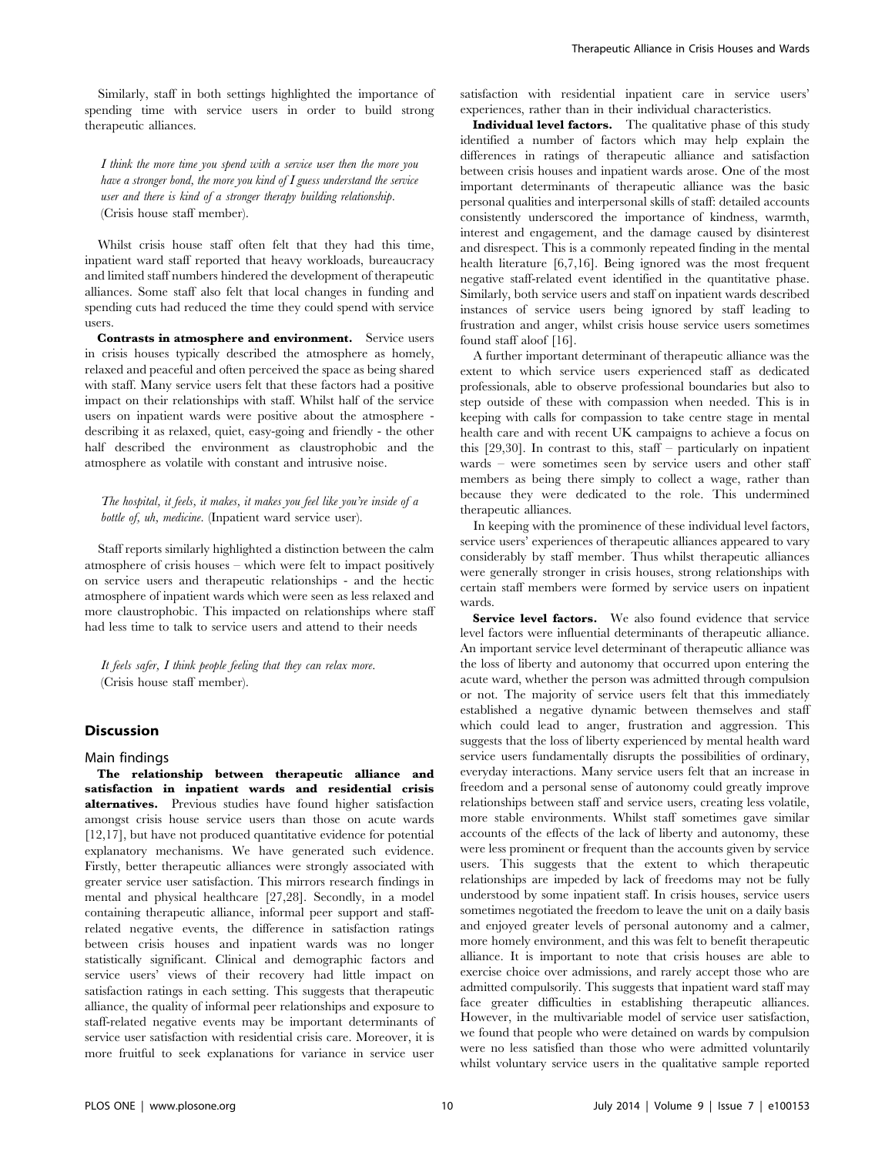Similarly, staff in both settings highlighted the importance of spending time with service users in order to build strong therapeutic alliances.

I think the more time you spend with a service user then the more you have a stronger bond, the more you kind of  $I$  guess understand the service user and there is kind of a stronger therapy building relationship. (Crisis house staff member).

Whilst crisis house staff often felt that they had this time, inpatient ward staff reported that heavy workloads, bureaucracy and limited staff numbers hindered the development of therapeutic alliances. Some staff also felt that local changes in funding and spending cuts had reduced the time they could spend with service users.

Contrasts in atmosphere and environment. Service users in crisis houses typically described the atmosphere as homely, relaxed and peaceful and often perceived the space as being shared with staff. Many service users felt that these factors had a positive impact on their relationships with staff. Whilst half of the service users on inpatient wards were positive about the atmosphere describing it as relaxed, quiet, easy-going and friendly - the other half described the environment as claustrophobic and the atmosphere as volatile with constant and intrusive noise.

# The hospital, it feels, it makes, it makes you feel like you're inside of a bottle of, uh, medicine. (Inpatient ward service user).

Staff reports similarly highlighted a distinction between the calm atmosphere of crisis houses – which were felt to impact positively on service users and therapeutic relationships - and the hectic atmosphere of inpatient wards which were seen as less relaxed and more claustrophobic. This impacted on relationships where staff had less time to talk to service users and attend to their needs

It feels safer, I think people feeling that they can relax more. (Crisis house staff member).

### Discussion

### Main findings

The relationship between therapeutic alliance and satisfaction in inpatient wards and residential crisis alternatives. Previous studies have found higher satisfaction amongst crisis house service users than those on acute wards [12,17], but have not produced quantitative evidence for potential explanatory mechanisms. We have generated such evidence. Firstly, better therapeutic alliances were strongly associated with greater service user satisfaction. This mirrors research findings in mental and physical healthcare [27,28]. Secondly, in a model containing therapeutic alliance, informal peer support and staffrelated negative events, the difference in satisfaction ratings between crisis houses and inpatient wards was no longer statistically significant. Clinical and demographic factors and service users' views of their recovery had little impact on satisfaction ratings in each setting. This suggests that therapeutic alliance, the quality of informal peer relationships and exposure to staff-related negative events may be important determinants of service user satisfaction with residential crisis care. Moreover, it is more fruitful to seek explanations for variance in service user satisfaction with residential inpatient care in service users' experiences, rather than in their individual characteristics.

Individual level factors. The qualitative phase of this study identified a number of factors which may help explain the differences in ratings of therapeutic alliance and satisfaction between crisis houses and inpatient wards arose. One of the most important determinants of therapeutic alliance was the basic personal qualities and interpersonal skills of staff: detailed accounts consistently underscored the importance of kindness, warmth, interest and engagement, and the damage caused by disinterest and disrespect. This is a commonly repeated finding in the mental health literature [6,7,16]. Being ignored was the most frequent negative staff-related event identified in the quantitative phase. Similarly, both service users and staff on inpatient wards described instances of service users being ignored by staff leading to frustration and anger, whilst crisis house service users sometimes found staff aloof [16].

A further important determinant of therapeutic alliance was the extent to which service users experienced staff as dedicated professionals, able to observe professional boundaries but also to step outside of these with compassion when needed. This is in keeping with calls for compassion to take centre stage in mental health care and with recent UK campaigns to achieve a focus on this [29,30]. In contrast to this, staff – particularly on inpatient wards – were sometimes seen by service users and other staff members as being there simply to collect a wage, rather than because they were dedicated to the role. This undermined therapeutic alliances.

In keeping with the prominence of these individual level factors, service users' experiences of therapeutic alliances appeared to vary considerably by staff member. Thus whilst therapeutic alliances were generally stronger in crisis houses, strong relationships with certain staff members were formed by service users on inpatient wards.

Service level factors. We also found evidence that service level factors were influential determinants of therapeutic alliance. An important service level determinant of therapeutic alliance was the loss of liberty and autonomy that occurred upon entering the acute ward, whether the person was admitted through compulsion or not. The majority of service users felt that this immediately established a negative dynamic between themselves and staff which could lead to anger, frustration and aggression. This suggests that the loss of liberty experienced by mental health ward service users fundamentally disrupts the possibilities of ordinary, everyday interactions. Many service users felt that an increase in freedom and a personal sense of autonomy could greatly improve relationships between staff and service users, creating less volatile, more stable environments. Whilst staff sometimes gave similar accounts of the effects of the lack of liberty and autonomy, these were less prominent or frequent than the accounts given by service users. This suggests that the extent to which therapeutic relationships are impeded by lack of freedoms may not be fully understood by some inpatient staff. In crisis houses, service users sometimes negotiated the freedom to leave the unit on a daily basis and enjoyed greater levels of personal autonomy and a calmer, more homely environment, and this was felt to benefit therapeutic alliance. It is important to note that crisis houses are able to exercise choice over admissions, and rarely accept those who are admitted compulsorily. This suggests that inpatient ward staff may face greater difficulties in establishing therapeutic alliances. However, in the multivariable model of service user satisfaction, we found that people who were detained on wards by compulsion were no less satisfied than those who were admitted voluntarily whilst voluntary service users in the qualitative sample reported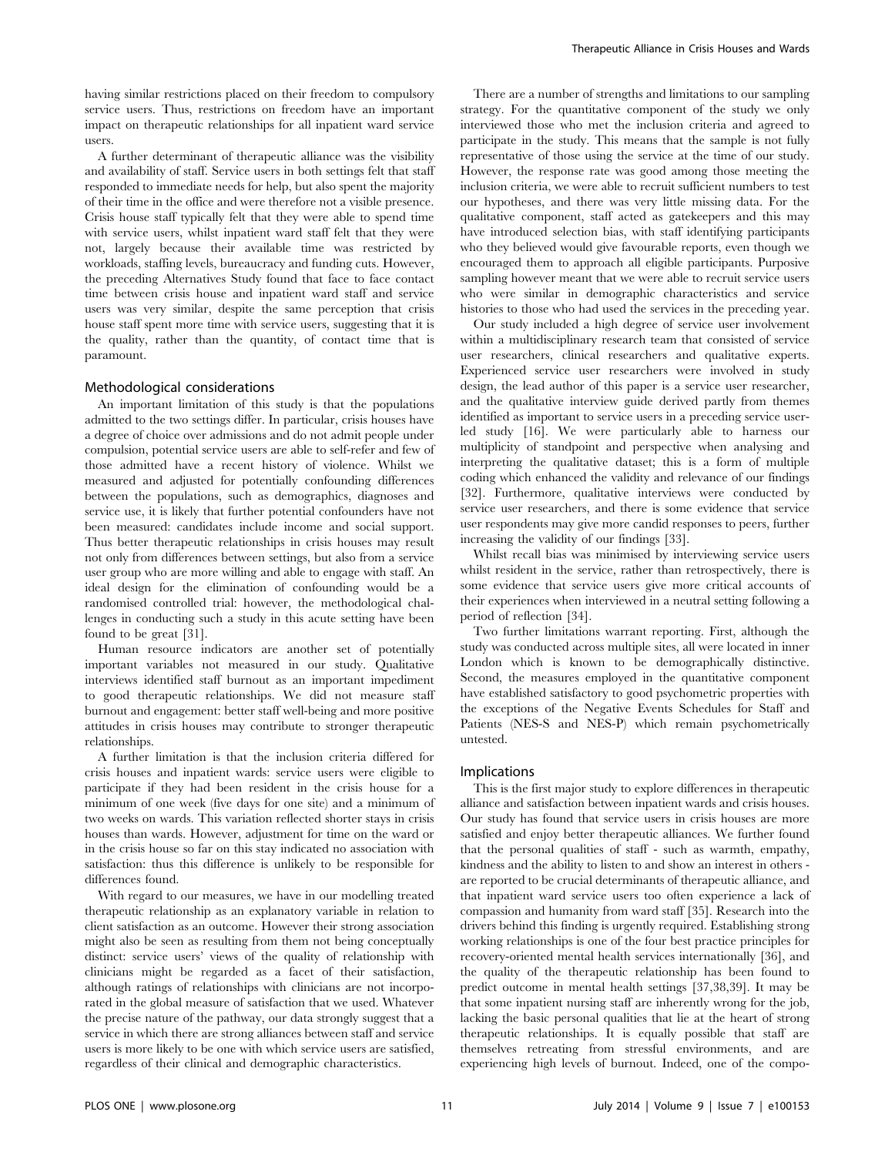having similar restrictions placed on their freedom to compulsory service users. Thus, restrictions on freedom have an important impact on therapeutic relationships for all inpatient ward service users.

A further determinant of therapeutic alliance was the visibility and availability of staff. Service users in both settings felt that staff responded to immediate needs for help, but also spent the majority of their time in the office and were therefore not a visible presence. Crisis house staff typically felt that they were able to spend time with service users, whilst inpatient ward staff felt that they were not, largely because their available time was restricted by workloads, staffing levels, bureaucracy and funding cuts. However, the preceding Alternatives Study found that face to face contact time between crisis house and inpatient ward staff and service users was very similar, despite the same perception that crisis house staff spent more time with service users, suggesting that it is the quality, rather than the quantity, of contact time that is paramount.

### Methodological considerations

An important limitation of this study is that the populations admitted to the two settings differ. In particular, crisis houses have a degree of choice over admissions and do not admit people under compulsion, potential service users are able to self-refer and few of those admitted have a recent history of violence. Whilst we measured and adjusted for potentially confounding differences between the populations, such as demographics, diagnoses and service use, it is likely that further potential confounders have not been measured: candidates include income and social support. Thus better therapeutic relationships in crisis houses may result not only from differences between settings, but also from a service user group who are more willing and able to engage with staff. An ideal design for the elimination of confounding would be a randomised controlled trial: however, the methodological challenges in conducting such a study in this acute setting have been found to be great [31].

Human resource indicators are another set of potentially important variables not measured in our study. Qualitative interviews identified staff burnout as an important impediment to good therapeutic relationships. We did not measure staff burnout and engagement: better staff well-being and more positive attitudes in crisis houses may contribute to stronger therapeutic relationships.

A further limitation is that the inclusion criteria differed for crisis houses and inpatient wards: service users were eligible to participate if they had been resident in the crisis house for a minimum of one week (five days for one site) and a minimum of two weeks on wards. This variation reflected shorter stays in crisis houses than wards. However, adjustment for time on the ward or in the crisis house so far on this stay indicated no association with satisfaction: thus this difference is unlikely to be responsible for differences found.

With regard to our measures, we have in our modelling treated therapeutic relationship as an explanatory variable in relation to client satisfaction as an outcome. However their strong association might also be seen as resulting from them not being conceptually distinct: service users' views of the quality of relationship with clinicians might be regarded as a facet of their satisfaction, although ratings of relationships with clinicians are not incorporated in the global measure of satisfaction that we used. Whatever the precise nature of the pathway, our data strongly suggest that a service in which there are strong alliances between staff and service users is more likely to be one with which service users are satisfied, regardless of their clinical and demographic characteristics.

There are a number of strengths and limitations to our sampling strategy. For the quantitative component of the study we only interviewed those who met the inclusion criteria and agreed to participate in the study. This means that the sample is not fully representative of those using the service at the time of our study. However, the response rate was good among those meeting the inclusion criteria, we were able to recruit sufficient numbers to test our hypotheses, and there was very little missing data. For the qualitative component, staff acted as gatekeepers and this may have introduced selection bias, with staff identifying participants who they believed would give favourable reports, even though we encouraged them to approach all eligible participants. Purposive sampling however meant that we were able to recruit service users who were similar in demographic characteristics and service histories to those who had used the services in the preceding year.

Our study included a high degree of service user involvement within a multidisciplinary research team that consisted of service user researchers, clinical researchers and qualitative experts. Experienced service user researchers were involved in study design, the lead author of this paper is a service user researcher, and the qualitative interview guide derived partly from themes identified as important to service users in a preceding service userled study [16]. We were particularly able to harness our multiplicity of standpoint and perspective when analysing and interpreting the qualitative dataset; this is a form of multiple coding which enhanced the validity and relevance of our findings [32]. Furthermore, qualitative interviews were conducted by service user researchers, and there is some evidence that service user respondents may give more candid responses to peers, further increasing the validity of our findings [33].

Whilst recall bias was minimised by interviewing service users whilst resident in the service, rather than retrospectively, there is some evidence that service users give more critical accounts of their experiences when interviewed in a neutral setting following a period of reflection [34].

Two further limitations warrant reporting. First, although the study was conducted across multiple sites, all were located in inner London which is known to be demographically distinctive. Second, the measures employed in the quantitative component have established satisfactory to good psychometric properties with the exceptions of the Negative Events Schedules for Staff and Patients (NES-S and NES-P) which remain psychometrically untested.

### Implications

This is the first major study to explore differences in therapeutic alliance and satisfaction between inpatient wards and crisis houses. Our study has found that service users in crisis houses are more satisfied and enjoy better therapeutic alliances. We further found that the personal qualities of staff - such as warmth, empathy, kindness and the ability to listen to and show an interest in others are reported to be crucial determinants of therapeutic alliance, and that inpatient ward service users too often experience a lack of compassion and humanity from ward staff [35]. Research into the drivers behind this finding is urgently required. Establishing strong working relationships is one of the four best practice principles for recovery-oriented mental health services internationally [36], and the quality of the therapeutic relationship has been found to predict outcome in mental health settings [37,38,39]. It may be that some inpatient nursing staff are inherently wrong for the job, lacking the basic personal qualities that lie at the heart of strong therapeutic relationships. It is equally possible that staff are themselves retreating from stressful environments, and are experiencing high levels of burnout. Indeed, one of the compo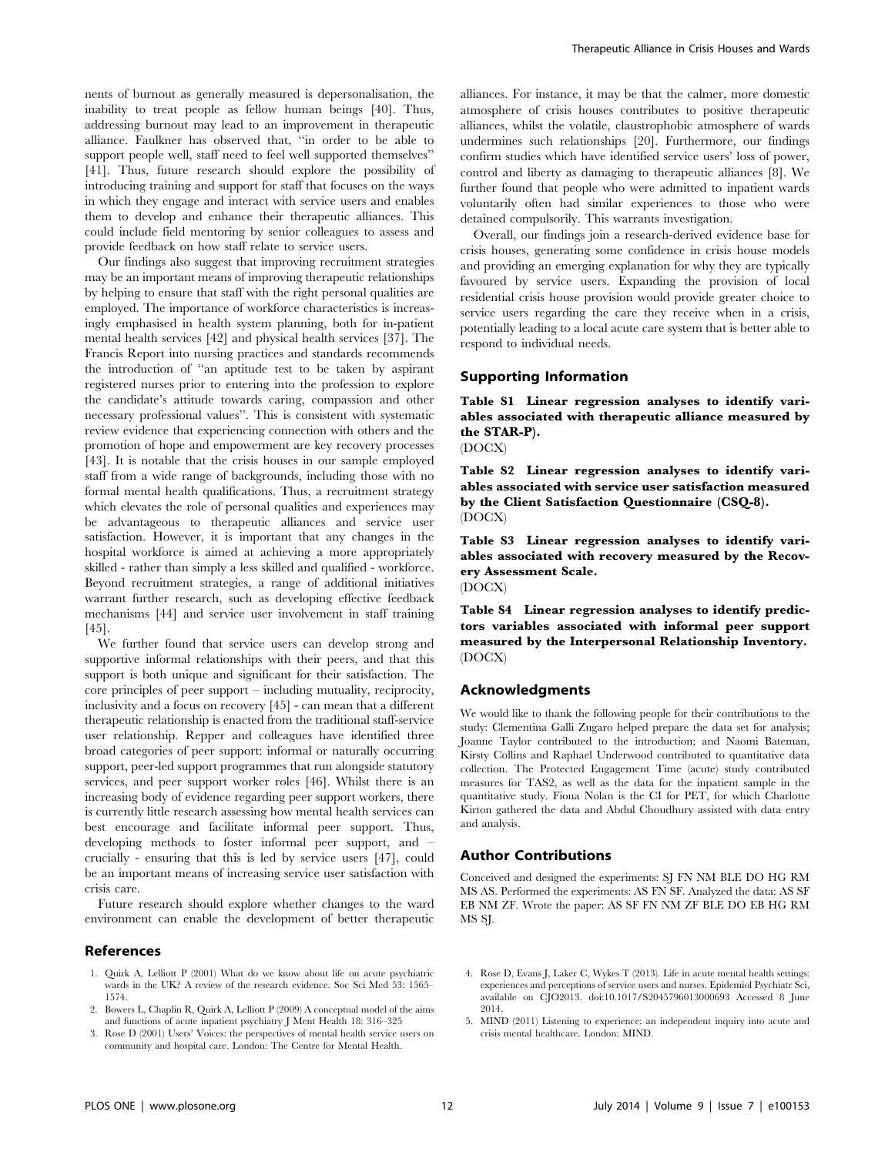nents of burnout as generally measured is depersonalisation, the inability to treat people as fellow human beings [40]. Thus, addressing burnout may lead to an improvement in therapeutic alliance. Faulkner has observed that, ''in order to be able to support people well, staff need to feel well supported themselves'' [41]. Thus, future research should explore the possibility of introducing training and support for staff that focuses on the ways in which they engage and interact with service users and enables them to develop and enhance their therapeutic alliances. This could include field mentoring by senior colleagues to assess and provide feedback on how staff relate to service users.

Our findings also suggest that improving recruitment strategies may be an important means of improving therapeutic relationships by helping to ensure that staff with the right personal qualities are employed. The importance of workforce characteristics is increasingly emphasised in health system planning, both for in-patient mental health services [42] and physical health services [37]. The Francis Report into nursing practices and standards recommends the introduction of ''an aptitude test to be taken by aspirant registered nurses prior to entering into the profession to explore the candidate's attitude towards caring, compassion and other necessary professional values''. This is consistent with systematic review evidence that experiencing connection with others and the promotion of hope and empowerment are key recovery processes [43]. It is notable that the crisis houses in our sample employed staff from a wide range of backgrounds, including those with no formal mental health qualifications. Thus, a recruitment strategy which elevates the role of personal qualities and experiences may be advantageous to therapeutic alliances and service user satisfaction. However, it is important that any changes in the hospital workforce is aimed at achieving a more appropriately skilled - rather than simply a less skilled and qualified - workforce. Beyond recruitment strategies, a range of additional initiatives warrant further research, such as developing effective feedback mechanisms [44] and service user involvement in staff training [45].

We further found that service users can develop strong and supportive informal relationships with their peers, and that this support is both unique and significant for their satisfaction. The core principles of peer support – including mutuality, reciprocity, inclusivity and a focus on recovery [45] - can mean that a different therapeutic relationship is enacted from the traditional staff-service user relationship. Repper and colleagues have identified three broad categories of peer support: informal or naturally occurring support, peer-led support programmes that run alongside statutory services, and peer support worker roles [46]. Whilst there is an increasing body of evidence regarding peer support workers, there is currently little research assessing how mental health services can best encourage and facilitate informal peer support. Thus, developing methods to foster informal peer support, and – crucially - ensuring that this is led by service users [47], could be an important means of increasing service user satisfaction with crisis care.

Future research should explore whether changes to the ward environment can enable the development of better therapeutic

### References

- 1. Quirk A, Lelliott P (2001) What do we know about life on acute psychiatric wards in the UK? A review of the research evidence. Soc Sci Med 53: 1565– 1574.
- 2. Bowers L, Chaplin R, Quirk A, Lelliott P (2009) A conceptual model of the aims and functions of acute inpatient psychiatry J Ment Health 18: 316–325
- 3. Rose D (2001) Users' Voices: the perspectives of mental health service users on community and hospital care. London: The Centre for Mental Health.

alliances. For instance, it may be that the calmer, more domestic atmosphere of crisis houses contributes to positive therapeutic alliances, whilst the volatile, claustrophobic atmosphere of wards undermines such relationships [20]. Furthermore, our findings confirm studies which have identified service users' loss of power, control and liberty as damaging to therapeutic alliances [8]. We further found that people who were admitted to inpatient wards voluntarily often had similar experiences to those who were detained compulsorily. This warrants investigation.

Overall, our findings join a research-derived evidence base for crisis houses, generating some confidence in crisis house models and providing an emerging explanation for why they are typically favoured by service users. Expanding the provision of local residential crisis house provision would provide greater choice to service users regarding the care they receive when in a crisis, potentially leading to a local acute care system that is better able to respond to individual needs.

### Supporting Information

Table S1 Linear regression analyses to identify variables associated with therapeutic alliance measured by the STAR-P).

(DOCX)

Table S2 Linear regression analyses to identify variables associated with service user satisfaction measured by the Client Satisfaction Questionnaire (CSQ-8). (DOCX)

Table S3 Linear regression analyses to identify variables associated with recovery measured by the Recovery Assessment Scale.

(DOCX)

Table S4 Linear regression analyses to identify predictors variables associated with informal peer support measured by the Interpersonal Relationship Inventory. (DOCX)

### Acknowledgments

We would like to thank the following people for their contributions to the study: Clementina Galli Zugaro helped prepare the data set for analysis; Joanne Taylor contributed to the introduction; and Naomi Bateman, Kirsty Collins and Raphael Underwood contributed to quantitative data collection. The Protected Engagement Time (acute) study contributed measures for TAS2, as well as the data for the inpatient sample in the quantitative study. Fiona Nolan is the CI for PET, for which Charlotte Kirton gathered the data and Abdul Choudhury assisted with data entry and analysis.

# Author Contributions

Conceived and designed the experiments: SJ FN NM BLE DO HG RM MS AS. Performed the experiments: AS FN SF. Analyzed the data: AS SF EB NM ZF. Wrote the paper: AS SF FN NM ZF BLE DO EB HG RM MS SJ.

- 4. Rose D, Evans J, Laker C, Wykes T (2013). Life in acute mental health settings: experiences and perceptions of service users and nurses. Epidemiol Psychiatr Sci, available on CJO2013. doi:10.1017/S2045796013000693 Accessed 8 June 2014.
- 5. MIND (2011) Listening to experience: an independent inquiry into acute and crisis mental healthcare. London: MIND.